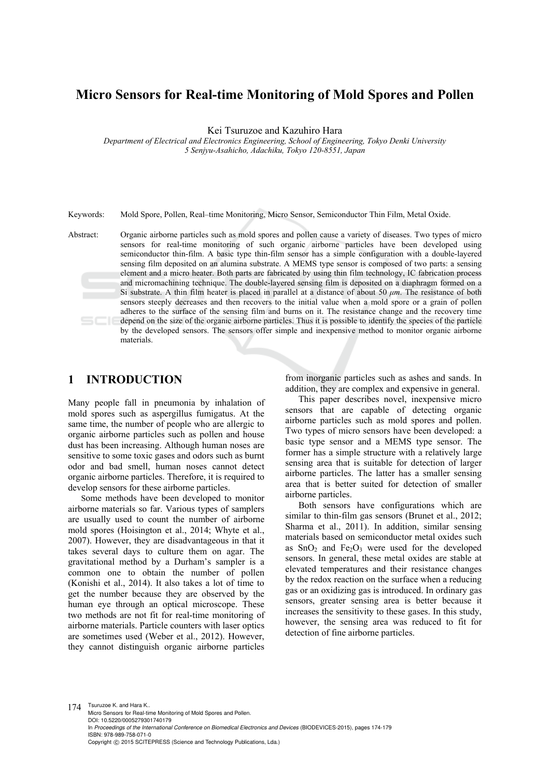# **Micro Sensors for Real-time Monitoring of Mold Spores and Pollen**

Kei Tsuruzoe and Kazuhiro Hara

*Department of Electrical and Electronics Engineering, School of Engineering, Tokyo Denki University 5 Senjyu-Asahicho, Adachiku, Tokyo 120-8551, Japan* 

Keywords: Mold Spore, Pollen, Real–time Monitoring, Micro Sensor, Semiconductor Thin Film, Metal Oxide.

Abstract: Organic airborne particles such as mold spores and pollen cause a variety of diseases. Two types of micro sensors for real-time monitoring of such organic airborne particles have been developed using semiconductor thin-film. A basic type thin-film sensor has a simple configuration with a double-layered sensing film deposited on an alumina substrate. A MEMS type sensor is composed of two parts: a sensing element and a micro heater. Both parts are fabricated by using thin film technology, IC fabrication process and micromachining technique. The double-layered sensing film is deposited on a diaphragm formed on a Si substrate. A thin film heater is placed in parallel at a distance of about 50 *μm*. The resistance of both sensors steeply decreases and then recovers to the initial value when a mold spore or a grain of pollen adheres to the surface of the sensing film and burns on it. The resistance change and the recovery time depend on the size of the organic airborne particles. Thus it is possible to identify the species of the particle by the developed sensors. The sensors offer simple and inexpensive method to monitor organic airborne materials.

# **1 INTRODUCTION**

Many people fall in pneumonia by inhalation of mold spores such as aspergillus fumigatus. At the same time, the number of people who are allergic to organic airborne particles such as pollen and house dust has been increasing. Although human noses are sensitive to some toxic gases and odors such as burnt odor and bad smell, human noses cannot detect organic airborne particles. Therefore, it is required to develop sensors for these airborne particles.

Some methods have been developed to monitor airborne materials so far. Various types of samplers are usually used to count the number of airborne mold spores (Hoisington et al., 2014; Whyte et al., 2007). However, they are disadvantageous in that it takes several days to culture them on agar. The gravitational method by a Durham's sampler is a common one to obtain the number of pollen (Konishi et al., 2014). It also takes a lot of time to get the number because they are observed by the human eye through an optical microscope. These two methods are not fit for real-time monitoring of airborne materials. Particle counters with laser optics are sometimes used (Weber et al., 2012). However, they cannot distinguish organic airborne particles

from inorganic particles such as ashes and sands. In addition, they are complex and expensive in general.

This paper describes novel, inexpensive micro sensors that are capable of detecting organic airborne particles such as mold spores and pollen. Two types of micro sensors have been developed: a basic type sensor and a MEMS type sensor. The former has a simple structure with a relatively large sensing area that is suitable for detection of larger airborne particles. The latter has a smaller sensing area that is better suited for detection of smaller airborne particles.

Both sensors have configurations which are similar to thin-film gas sensors (Brunet et al., 2012; Sharma et al., 2011). In addition, similar sensing materials based on semiconductor metal oxides such as  $SnO<sub>2</sub>$  and  $Fe<sub>2</sub>O<sub>3</sub>$  were used for the developed sensors. In general, these metal oxides are stable at elevated temperatures and their resistance changes by the redox reaction on the surface when a reducing gas or an oxidizing gas is introduced. In ordinary gas sensors, greater sensing area is better because it increases the sensitivity to these gases. In this study, however, the sensing area was reduced to fit for detection of fine airborne particles.

174 Tsuruzoe K. and Hara K.. Micro Sensors for Real-time Monitoring of Mold Spores and Pollen. DOI: 10.5220/0005279301740179 In *Proceedings of the International Conference on Biomedical Electronics and Devices* (BIODEVICES-2015), pages 174-179 ISBN: 978-989-758-071-0 Copyright © 2015 SCITEPRESS (Science and Technology Publications, Lda.)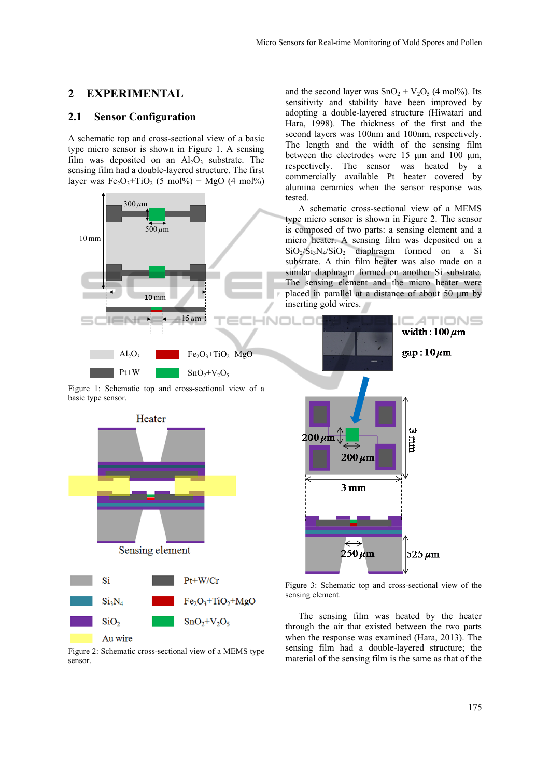## **2 EXPERIMENTAL**

## **2.1 Sensor Configuration**

A schematic top and cross-sectional view of a basic type micro sensor is shown in Figure 1. A sensing film was deposited on an  $Al_2O_3$  substrate. The sensing film had a double-layered structure. The first layer was  $Fe<sub>2</sub>O<sub>3</sub>+TiO<sub>2</sub>$  (5 mol%) + MgO (4 mol%)



Figure 1: Schematic top and cross-sectional view of a basic type sensor.



Figure 2: Schematic cross-sectional view of a MEMS type sensor.

and the second layer was  $SnO<sub>2</sub> + V<sub>2</sub>O<sub>5</sub>$  (4 mol%). Its sensitivity and stability have been improved by adopting a double-layered structure (Hiwatari and Hara, 1998). The thickness of the first and the second layers was 100nm and 100nm, respectively. The length and the width of the sensing film between the electrodes were 15 μm and 100 μm, respectively. The sensor was heated by a commercially available Pt heater covered by alumina ceramics when the sensor response was tested.

A schematic cross-sectional view of a MEMS type micro sensor is shown in Figure 2. The sensor is composed of two parts: a sensing element and a micro heater. A sensing film was deposited on a  $SiO_2/Si_3N_4/SiO_2$  diaphragm formed on a Si substrate. A thin film heater was also made on a similar diaphragm formed on another Si substrate. The sensing element and the micro heater were placed in parallel at a distance of about 50 μm by inserting gold wires.



Figure 3: Schematic top and cross-sectional view of the sensing element.

The sensing film was heated by the heater through the air that existed between the two parts when the response was examined (Hara, 2013). The sensing film had a double-layered structure; the material of the sensing film is the same as that of the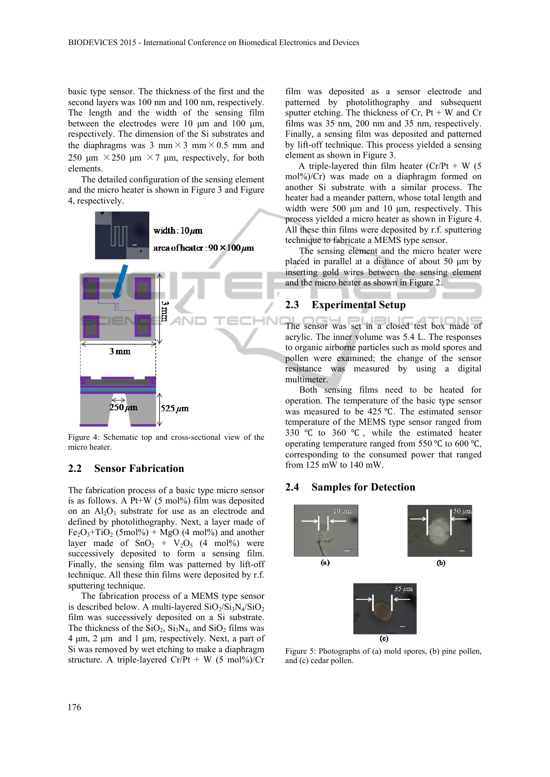basic type sensor. The thickness of the first and the second layers was 100 nm and 100 nm, respectively. The length and the width of the sensing film between the electrodes were 10 μm and 100 μm, respectively. The dimension of the Si substrates and the diaphragms was 3 mm  $\times$  3 mm  $\times$  0.5 mm and 250 μm  $\times$  250 μm  $\times$  7 μm, respectively, for both elements.

The detailed configuration of the sensing element and the micro heater is shown in Figure 3 and Figure 4, respectively.



Figure 4: Schematic top and cross-sectional view of the micro heater.

## **2.2 Sensor Fabrication**

The fabrication process of a basic type micro sensor is as follows. A Pt+W  $(5 \text{ mol})\%$  film was deposited on an  $Al_2O_3$  substrate for use as an electrode and defined by photolithography. Next, a layer made of  $Fe<sub>2</sub>O<sub>3</sub>+TiO<sub>2</sub>$  (5mol%) + MgO (4 mol%) and another layer made of  $SnO<sub>2</sub> + V<sub>2</sub>O<sub>5</sub>$  (4 mol%) were successively deposited to form a sensing film. Finally, the sensing film was patterned by lift-off technique. All these thin films were deposited by r.f. sputtering technique.

The fabrication process of a MEMS type sensor is described below. A multi-layered  $SiO_2/Si_3N_4/SiO_2$ film was successively deposited on a Si substrate. The thickness of the  $SiO<sub>2</sub>$ ,  $Si<sub>3</sub>N<sub>4</sub>$ , and  $SiO<sub>2</sub>$  films was 4 μm, 2 μm and 1 μm, respectively. Next, a part of Si was removed by wet etching to make a diaphragm structure. A triple-layered  $Cr/Pt + W$  (5 mol%)/ $Cr$ 

film was deposited as a sensor electrode and patterned by photolithography and subsequent sputter etching. The thickness of  $Cr$ ,  $Pt + W$  and  $Cr$ films was 35 nm, 200 nm and 35 nm, respectively. Finally, a sensing film was deposited and patterned by lift-off technique. This process yielded a sensing element as shown in Figure 3.

A triple-layered thin film heater  $(Cr/Pt + W)$  (5 mol%)/Cr) was made on a diaphragm formed on another Si substrate with a similar process. The heater had a meander pattern, whose total length and width were 500 μm and 10 μm, respectively. This process yielded a micro heater as shown in Figure 4. All these thin films were deposited by r.f. sputtering technique to fabricate a MEMS type sensor.

The sensing element and the micro heater were placed in parallel at a distance of about 50 μm by inserting gold wires between the sensing element and the micro heater as shown in Figure 2.

#### **2.3 Experimental Setup**

The sensor was set in a closed test box made of acrylic. The inner volume was 5.4 L. The responses to organic airborne particles such as mold spores and pollen were examined; the change of the sensor resistance was measured by using a digital multimeter.

Both sensing films need to be heated for operation. The temperature of the basic type sensor was measured to be 425 °C. The estimated sensor temperature of the MEMS type sensor ranged from 330  $\degree$ C to 360  $\degree$ C, while the estimated heater operating temperature ranged from 550  $\degree$ C to 600  $\degree$ C, corresponding to the consumed power that ranged from 125 mW to 140 mW.

## **2.4 Samples for Detection**



Figure 5: Photographs of (a) mold spores, (b) pine pollen, and (c) cedar pollen.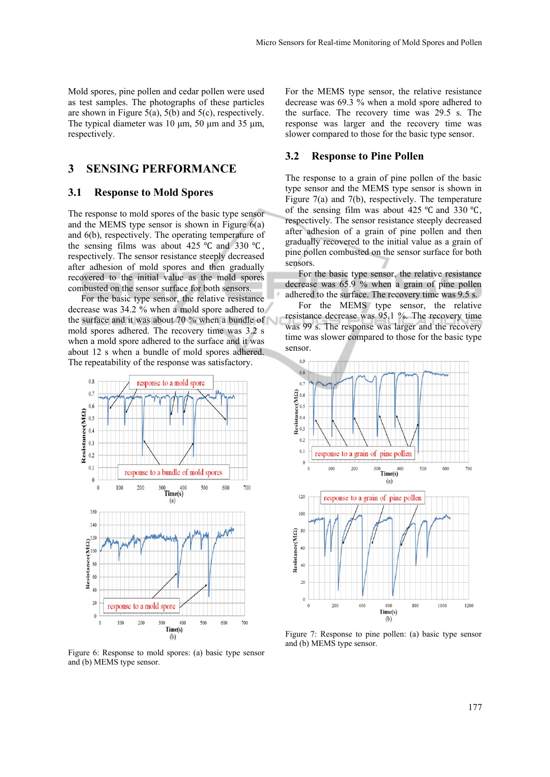Mold spores, pine pollen and cedar pollen were used as test samples. The photographs of these particles are shown in Figure 5(a), 5(b) and 5(c), respectively. The typical diameter was 10 μm, 50 μm and 35 μm, respectively.

# **3 SENSING PERFORMANCE**

## **3.1 Response to Mold Spores**

The response to mold spores of the basic type sensor and the MEMS type sensor is shown in Figure 6(a) and 6(b), respectively. The operating temperature of the sensing films was about 425  $\degree$ C and 330  $\degree$ C, respectively. The sensor resistance steeply decreased after adhesion of mold spores and then gradually recovered to the initial value as the mold spores combusted on the sensor surface for both sensors.

For the basic type sensor, the relative resistance decrease was 34.2 % when a mold spore adhered to the surface and it was about 70 % when a bundle of mold spores adhered. The recovery time was 3.2 s when a mold spore adhered to the surface and it was about 12 s when a bundle of mold spores adhered. The repeatability of the response was satisfactory.



Figure 6: Response to mold spores: (a) basic type sensor and (b) MEMS type sensor.

For the MEMS type sensor, the relative resistance decrease was 69.3 % when a mold spore adhered to the surface. The recovery time was 29.5 s. The response was larger and the recovery time was slower compared to those for the basic type sensor.

## **3.2 Response to Pine Pollen**

The response to a grain of pine pollen of the basic type sensor and the MEMS type sensor is shown in Figure 7(a) and 7(b), respectively. The temperature of the sensing film was about 425  $\degree$ C and 330  $\degree$ C. respectively. The sensor resistance steeply decreased after adhesion of a grain of pine pollen and then gradually recovered to the initial value as a grain of pine pollen combusted on the sensor surface for both sensors.

For the basic type sensor, the relative resistance decrease was 65.9 % when a grain of pine pollen adhered to the surface. The recovery time was 9.5 s.

For the MEMS type sensor, the relative resistance decrease was 95.1 %. The recovery time was 99 s. The response was larger and the recovery time was slower compared to those for the basic type sensor.



Figure 7: Response to pine pollen: (a) basic type sensor and (b) MEMS type sensor.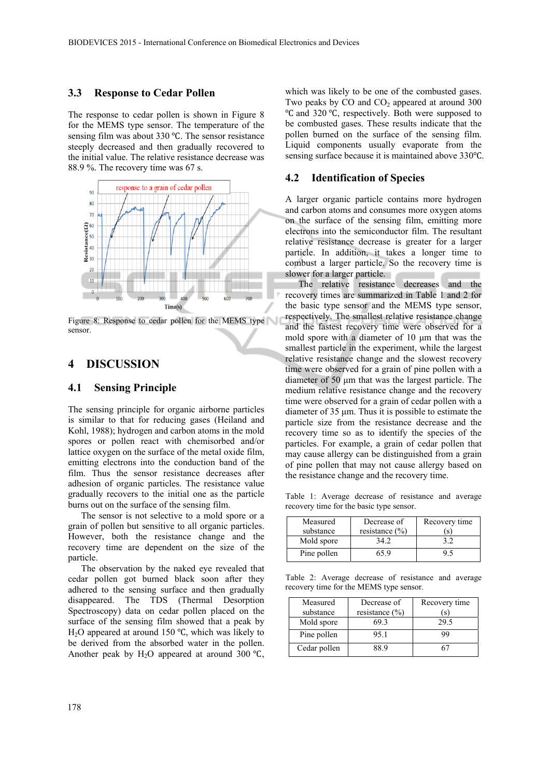## **3.3 Response to Cedar Pollen**

The response to cedar pollen is shown in Figure 8 for the MEMS type sensor. The temperature of the sensing film was about  $330^{\circ}$ C. The sensor resistance steeply decreased and then gradually recovered to the initial value. The relative resistance decrease was 88.9 %. The recovery time was 67 s.



Figure 8: Response to cedar pollen for the MEMS type sensor.

# **4 DISCUSSION**

## **4.1 Sensing Principle**

The sensing principle for organic airborne particles is similar to that for reducing gases (Heiland and Kohl, 1988); hydrogen and carbon atoms in the mold spores or pollen react with chemisorbed and/or lattice oxygen on the surface of the metal oxide film, emitting electrons into the conduction band of the film. Thus the sensor resistance decreases after adhesion of organic particles. The resistance value gradually recovers to the initial one as the particle burns out on the surface of the sensing film.

The sensor is not selective to a mold spore or a grain of pollen but sensitive to all organic particles. However, both the resistance change and the recovery time are dependent on the size of the particle.

The observation by the naked eye revealed that cedar pollen got burned black soon after they adhered to the sensing surface and then gradually disappeared. The TDS (Thermal Desorption Spectroscopy) data on cedar pollen placed on the surface of the sensing film showed that a peak by H<sub>2</sub>O appeared at around 150  $\degree$ C, which was likely to be derived from the absorbed water in the pollen. Another peak by H<sub>2</sub>O appeared at around 300  $\degree$ C,

which was likely to be one of the combusted gases. Two peaks by  $CO$  and  $CO<sub>2</sub>$  appeared at around 300 Ԩ and 320 Ԩ, respectively. Both were supposed to be combusted gases. These results indicate that the pollen burned on the surface of the sensing film. Liquid components usually evaporate from the sensing surface because it is maintained above 330°C.

#### **4.2 Identification of Species**

A larger organic particle contains more hydrogen and carbon atoms and consumes more oxygen atoms on the surface of the sensing film, emitting more electrons into the semiconductor film. The resultant relative resistance decrease is greater for a larger particle. In addition, it takes a longer time to combust a larger particle. So the recovery time is slower for a larger particle.

The relative resistance decreases and the recovery times are summarized in Table 1 and 2 for the basic type sensor and the MEMS type sensor, respectively. The smallest relative resistance change and the fastest recovery time were observed for a mold spore with a diameter of 10 μm that was the smallest particle in the experiment, while the largest relative resistance change and the slowest recovery time were observed for a grain of pine pollen with a diameter of 50 μm that was the largest particle. The medium relative resistance change and the recovery time were observed for a grain of cedar pollen with a diameter of 35 μm. Thus it is possible to estimate the particle size from the resistance decrease and the recovery time so as to identify the species of the particles. For example, a grain of cedar pollen that may cause allergy can be distinguished from a grain of pine pollen that may not cause allergy based on the resistance change and the recovery time.

Table 1: Average decrease of resistance and average recovery time for the basic type sensor.

| Measured<br>substance | Decrease of<br>resistance $(\% )$ | Recovery time<br>(s) |
|-----------------------|-----------------------------------|----------------------|
| Mold spore            | 34.2                              |                      |
| Pine pollen           | 65 9                              |                      |

Table 2: Average decrease of resistance and average recovery time for the MEMS type sensor.

| Measured     | Decrease of        | Recovery time |
|--------------|--------------------|---------------|
| substance    | resistance $(\% )$ | (s)           |
| Mold spore   | 693                | 29.5          |
| Pine pollen  | 95.1               | 99            |
| Cedar pollen | 88 9               |               |